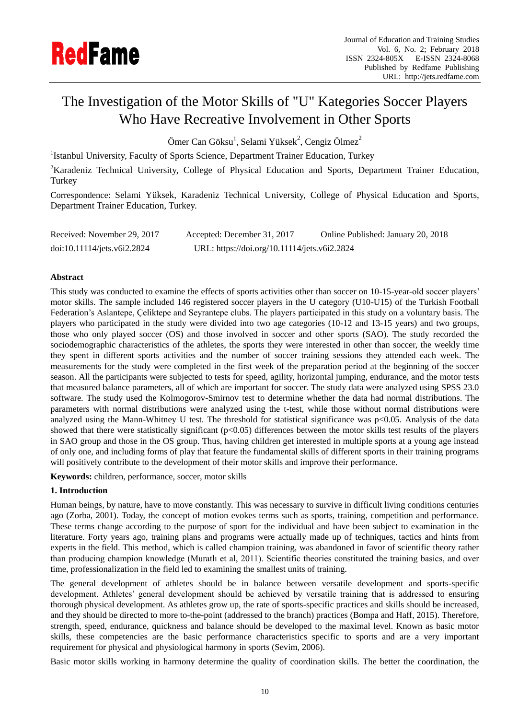

# The Investigation of the Motor Skills of "U" Kategories Soccer Players Who Have Recreative Involvement in Other Sports

Ömer Can Göksu<sup>1</sup>, Selami Yüksek<sup>2</sup>, Cengiz Ölmez<sup>2</sup>

<sup>1</sup>Istanbul University, Faculty of Sports Science, Department Trainer Education, Turkey

<sup>2</sup>Karadeniz Technical University, College of Physical Education and Sports, Department Trainer Education, **Turkey** 

Correspondence: Selami Yüksek, Karadeniz Technical University, College of Physical Education and Sports, Department Trainer Education, Turkey.

| Received: November 29, 2017 | Accepted: December 31, 2017                  | Online Published: January 20, 2018 |
|-----------------------------|----------------------------------------------|------------------------------------|
| doi:10.11114/jets.v6i2.2824 | URL: https://doi.org/10.11114/jets.v6i2.2824 |                                    |

## **Abstract**

This study was conducted to examine the effects of sports activities other than soccer on 10-15-year-old soccer players' motor skills. The sample included 146 registered soccer players in the U category (U10-U15) of the Turkish Football Federation's Aslantepe, Çeliktepe and Seyrantepe clubs. The players participated in this study on a voluntary basis. The players who participated in the study were divided into two age categories (10-12 and 13-15 years) and two groups, those who only played soccer (OS) and those involved in soccer and other sports (SAO). The study recorded the sociodemographic characteristics of the athletes, the sports they were interested in other than soccer, the weekly time they spent in different sports activities and the number of soccer training sessions they attended each week. The measurements for the study were completed in the first week of the preparation period at the beginning of the soccer season. All the participants were subjected to tests for speed, agility, horizontal jumping, endurance, and the motor tests that measured balance parameters, all of which are important for soccer. The study data were analyzed using SPSS 23.0 software. The study used the Kolmogorov-Smirnov test to determine whether the data had normal distributions. The parameters with normal distributions were analyzed using the t-test, while those without normal distributions were analyzed using the Mann-Whitney U test. The threshold for statistical significance was p<0.05. Analysis of the data showed that there were statistically significant (p<0.05) differences between the motor skills test results of the players in SAO group and those in the OS group. Thus, having children get interested in multiple sports at a young age instead of only one, and including forms of play that feature the fundamental skills of different sports in their training programs will positively contribute to the development of their motor skills and improve their performance.

**Keywords:** children, performance, soccer, motor skills

## **1. Introduction**

Human beings, by nature, have to move constantly. This was necessary to survive in difficult living conditions centuries ago (Zorba, 2001). Today, the concept of motion evokes terms such as sports, training, competition and performance. These terms change according to the purpose of sport for the individual and have been subject to examination in the literature. Forty years ago, training plans and programs were actually made up of techniques, tactics and hints from experts in the field. This method, which is called champion training, was abandoned in favor of scientific theory rather than producing champion knowledge (Muratlı et al, 2011). Scientific theories constituted the training basics, and over time, professionalization in the field led to examining the smallest units of training.

The general development of athletes should be in balance between versatile development and sports-specific development. Athletes' general development should be achieved by versatile training that is addressed to ensuring thorough physical development. As athletes grow up, the rate of sports-specific practices and skills should be increased, and they should be directed to more to-the-point (addressed to the branch) practices (Bompa and Haff, 2015). Therefore, strength, speed, endurance, quickness and balance should be developed to the maximal level. Known as basic motor skills, these competencies are the basic performance characteristics specific to sports and are a very important requirement for physical and physiological harmony in sports (Sevim, 2006).

Basic motor skills working in harmony determine the quality of coordination skills. The better the coordination, the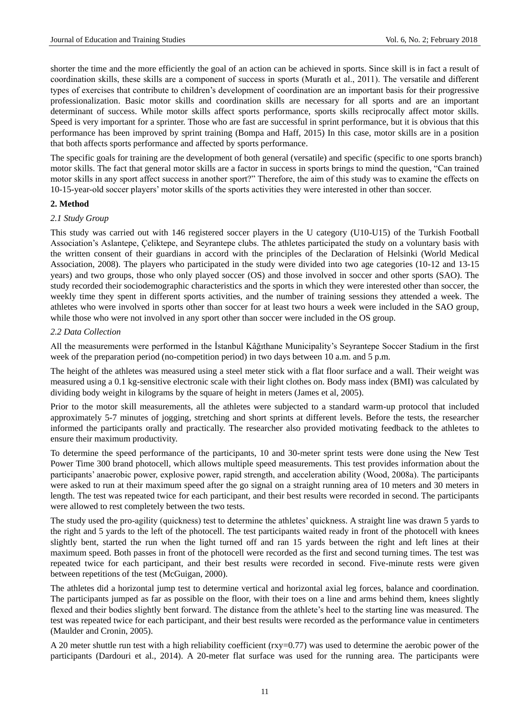shorter the time and the more efficiently the goal of an action can be achieved in sports. Since skill is in fact a result of coordination skills, these skills are a component of success in sports (Muratlı et al., 2011). The versatile and different types of exercises that contribute to children's development of coordination are an important basis for their progressive professionalization. Basic motor skills and coordination skills are necessary for all sports and are an important determinant of success. While motor skills affect sports performance, sports skills reciprocally affect motor skills. Speed is very important for a sprinter. Those who are fast are successful in sprint performance, but it is obvious that this performance has been improved by sprint training (Bompa and Haff, 2015) In this case, motor skills are in a position that both affects sports performance and affected by sports performance.

The specific goals for training are the development of both general (versatile) and specific (specific to one sports branch) motor skills. The fact that general motor skills are a factor in success in sports brings to mind the question, "Can trained motor skills in any sport affect success in another sport?" Therefore, the aim of this study was to examine the effects on 10-15-year-old soccer players' motor skills of the sports activities they were interested in other than soccer.

## **2. Method**

### *2.1 Study Group*

This study was carried out with 146 registered soccer players in the U category (U10-U15) of the Turkish Football Association's Aslantepe, Çeliktepe, and Seyrantepe clubs. The athletes participated the study on a voluntary basis with the written consent of their guardians in accord with the principles of the Declaration of Helsinki (World Medical Association, 2008). The players who participated in the study were divided into two age categories (10-12 and 13-15 years) and two groups, those who only played soccer (OS) and those involved in soccer and other sports (SAO). The study recorded their sociodemographic characteristics and the sports in which they were interested other than soccer, the weekly time they spent in different sports activities, and the number of training sessions they attended a week. The athletes who were involved in sports other than soccer for at least two hours a week were included in the SAO group, while those who were not involved in any sport other than soccer were included in the OS group.

## *2.2 Data Collection*

All the measurements were performed in the İstanbul Kâğıthane Municipality's Seyrantepe Soccer Stadium in the first week of the preparation period (no-competition period) in two days between 10 a.m. and 5 p.m.

The height of the athletes was measured using a steel meter stick with a flat floor surface and a wall. Their weight was measured using a 0.1 kg-sensitive electronic scale with their light clothes on. Body mass index (BMI) was calculated by dividing body weight in kilograms by the square of height in meters (James et al, 2005).

Prior to the motor skill measurements, all the athletes were subjected to a standard warm-up protocol that included approximately 5-7 minutes of jogging, stretching and short sprints at different levels. Before the tests, the researcher informed the participants orally and practically. The researcher also provided motivating feedback to the athletes to ensure their maximum productivity.

To determine the speed performance of the participants, 10 and 30-meter sprint tests were done using the New Test Power Time 300 brand photocell, which allows multiple speed measurements. This test provides information about the participants' anaerobic power, explosive power, rapid strength, and acceleration ability (Wood, 2008a). The participants were asked to run at their maximum speed after the go signal on a straight running area of 10 meters and 30 meters in length. The test was repeated twice for each participant, and their best results were recorded in second. The participants were allowed to rest completely between the two tests.

The study used the pro-agility (quickness) test to determine the athletes' quickness. A straight line was drawn 5 yards to the right and 5 yards to the left of the photocell. The test participants waited ready in front of the photocell with knees slightly bent, started the run when the light turned off and ran 15 yards between the right and left lines at their maximum speed. Both passes in front of the photocell were recorded as the first and second turning times. The test was repeated twice for each participant, and their best results were recorded in second. Five-minute rests were given between repetitions of the test (McGuigan, 2000).

The athletes did a horizontal jump test to determine vertical and horizontal axial leg forces, balance and coordination. The participants jumped as far as possible on the floor, with their toes on a line and arms behind them, knees slightly flexed and their bodies slightly bent forward. The distance from the athlete's heel to the starting line was measured. The test was repeated twice for each participant, and their best results were recorded as the performance value in centimeters (Maulder and Cronin, 2005).

A 20 meter shuttle run test with a high reliability coefficient (rxy=0.77) was used to determine the aerobic power of the participants (Dardouri et al., 2014). A 20-meter flat surface was used for the running area. The participants were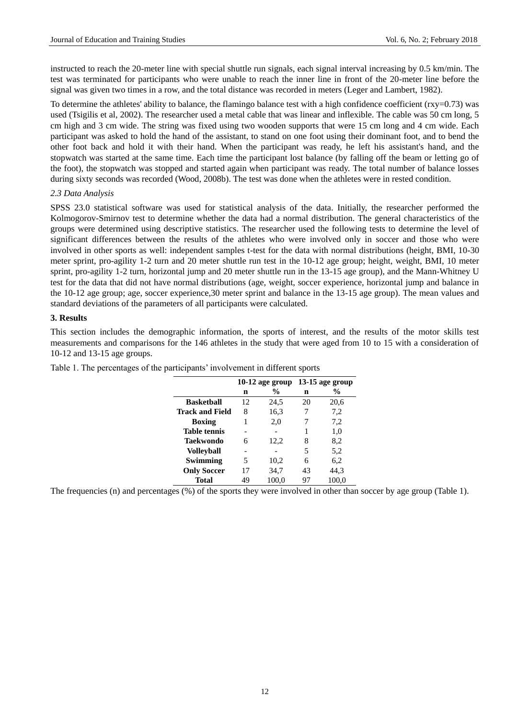instructed to reach the 20-meter line with special shuttle run signals, each signal interval increasing by 0.5 km/min. The test was terminated for participants who were unable to reach the inner line in front of the 20-meter line before the signal was given two times in a row, and the total distance was recorded in meters (Leger and Lambert, 1982).

To determine the athletes' ability to balance, the flamingo balance test with a high confidence coefficient (rxy=0.73) was used (Tsigilis et al, 2002). The researcher used a metal cable that was linear and inflexible. The cable was 50 cm long, 5 cm high and 3 cm wide. The string was fixed using two wooden supports that were 15 cm long and 4 cm wide. Each participant was asked to hold the hand of the assistant, to stand on one foot using their dominant foot, and to bend the other foot back and hold it with their hand. When the participant was ready, he left his assistant's hand, and the stopwatch was started at the same time. Each time the participant lost balance (by falling off the beam or letting go of the foot), the stopwatch was stopped and started again when participant was ready. The total number of balance losses during sixty seconds was recorded (Wood, 2008b). The test was done when the athletes were in rested condition.

## *2.3 Data Analysis*

SPSS 23.0 statistical software was used for statistical analysis of the data. Initially, the researcher performed the Kolmogorov-Smirnov test to determine whether the data had a normal distribution. The general characteristics of the groups were determined using descriptive statistics. The researcher used the following tests to determine the level of significant differences between the results of the athletes who were involved only in soccer and those who were involved in other sports as well: independent samples t-test for the data with normal distributions (height, BMI, 10-30 meter sprint, pro-agility 1-2 turn and 20 meter shuttle run test in the 10-12 age group; height, weight, BMI, 10 meter sprint, pro-agility 1-2 turn, horizontal jump and 20 meter shuttle run in the 13-15 age group), and the Mann-Whitney U test for the data that did not have normal distributions (age, weight, soccer experience, horizontal jump and balance in the 10-12 age group; age, soccer experience,30 meter sprint and balance in the 13-15 age group). The mean values and standard deviations of the parameters of all participants were calculated.

## **3. Results**

This section includes the demographic information, the sports of interest, and the results of the motor skills test measurements and comparisons for the 146 athletes in the study that were aged from 10 to 15 with a consideration of 10-12 and 13-15 age groups.

|                        | 10-12 age group |       | 13-15 age group |       |  |
|------------------------|-----------------|-------|-----------------|-------|--|
|                        | n               | $\%$  | n               | $\%$  |  |
| <b>Basketball</b>      | 12              | 24,5  | 20              | 20,6  |  |
| <b>Track and Field</b> | 8               | 16,3  |                 | 7,2   |  |
| <b>Boxing</b>          | 1               | 2,0   |                 | 7,2   |  |
| <b>Table tennis</b>    |                 |       |                 | 1,0   |  |
| Taekwondo              | 6               | 12,2  | 8               | 8,2   |  |
| <b>Volleyball</b>      |                 |       | 5               | 5,2   |  |
| Swimming               | 5               | 10,2  | 6               | 6,2   |  |
| <b>Only Soccer</b>     | 17              | 34,7  | 43              | 44,3  |  |
| Total                  | 49              | 100,0 | 97              | 100,0 |  |
|                        |                 |       |                 |       |  |

Table 1. The percentages of the participants' involvement in different sports

The frequencies (n) and percentages (%) of the sports they were involved in other than soccer by age group (Table 1).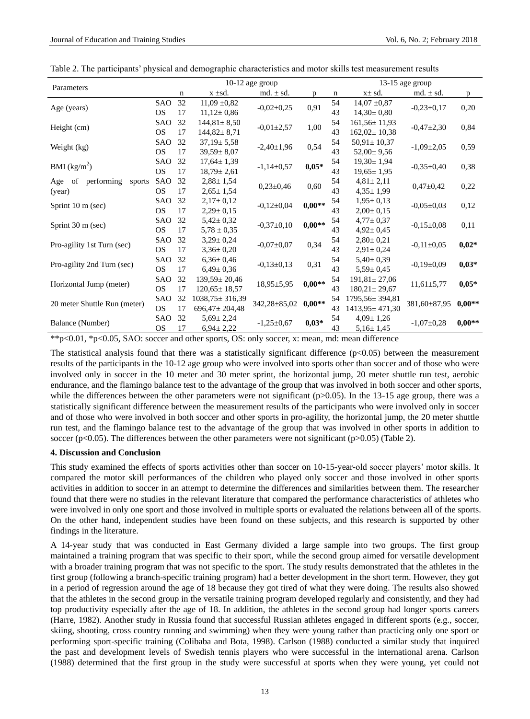| Parameters                        | 10-12 age group |    |                      | 13-15 age group            |           |                            |                    |                      |              |         |
|-----------------------------------|-----------------|----|----------------------|----------------------------|-----------|----------------------------|--------------------|----------------------|--------------|---------|
|                                   |                 | n  | $x \pm sd.$          | md. $\pm$ sd.              | p         | $\mathbf n$                | $x \pm sd.$        | md. $\pm$ sd.        | p            |         |
| Age (years)                       | SAO             | 32 | $11,09 \pm 0,82$     | $-0,02 \pm 0,25$           | 0,91      | 54                         | $14,07 +0,87$      | $-0,23 \pm 0,17$     | 0,20         |         |
|                                   | <b>OS</b>       | 17 | $11,12 \pm 0,86$     |                            |           | 43                         | $14,30 \pm 0,80$   |                      |              |         |
| Height (cm)                       | SAO             | 32 | $144,81 \pm 8,50$    | $-0.01 \pm 2.57$           | 1,00      | 54                         |                    | $161,56 \pm 11,93$   |              |         |
|                                   | <b>OS</b>       | 17 | $144,82 \pm 8,71$    |                            |           | 43                         | $162,02 \pm 10,38$ | $-0,47 \pm 2,30$     | 0,84         |         |
| Weight (kg)                       | <b>SAO</b>      | 32 | $37,19 \pm 5,58$     | $-2,40 \pm 1,96$           | 0,54      | 54                         | $50,91 \pm 10,37$  | $-1,09 + 2,05$       | 0,59         |         |
|                                   | <b>OS</b>       | 17 | $39,59 \pm 8,07$     |                            |           | 43                         | $52,00 \pm 9,56$   |                      |              |         |
| BMI (kg/m <sup>2</sup> )          | SAO             | 32 | $17,64 \pm 1,39$     | $0,05*$<br>$-1,14\pm0,57$  |           | 54                         | $19,30 \pm 1,94$   |                      |              |         |
|                                   | <b>OS</b>       | 17 | $18,79 \pm 2,61$     |                            |           | 43<br>$19.65 \pm 1.95$     | $-0,35+0,40$       | 0,38                 |              |         |
| performing<br>Age<br>of<br>sports | SAO             | 32 | $2,88 \pm 1,54$      | $0,23 \pm 0,46$<br>0,60    |           | 54                         | $4,81 \pm 2,11$    |                      |              |         |
| (year)                            | <b>OS</b>       | 17 | $2,65 \pm 1,54$      |                            | 43        | $4,35 \pm 1,99$            | $0,47 \pm 0,42$    | 0,22                 |              |         |
| Sprint 10 m (sec)                 | SAO             | 32 | $2,17 \pm 0,12$      | $-0,12 \pm 0,04$           | $0,00**$  | 54                         | $1,95 \pm 0,13$    | $-0.05 + 0.03$       | 0,12         |         |
|                                   | <b>OS</b>       | 17 | $2,29 \pm 0,15$      |                            |           | 43                         | $2,00 \pm 0,15$    |                      |              |         |
| Sprint 30 m (sec)                 | SAO             | 32 | $5,42 \pm 0,32$      | $-0,37 \pm 0,10$           | $0,00**$  | 54                         | $4.77 \pm 0.37$    | $-0,15 \pm 0,08$     | 0,11         |         |
|                                   | <b>OS</b>       | 17 | $5.78 \pm 0.35$      |                            |           | 43                         | $4.92 \pm 0.45$    |                      |              |         |
| Pro-agility 1st Turn (sec)        | SAO             | 32 | $3,29 \pm 0,24$      | $-0,07 + 0,07$             | 0,34      | 54                         | $2,80 \pm 0,21$    | $-0,11 \pm 0,05$     | $0,02*$      |         |
|                                   | <b>OS</b>       | 17 | $3,36 \pm 0,20$      |                            |           | 43                         | $2,91 \pm 0,24$    |                      |              |         |
| Pro-agility 2nd Turn (sec)        | SAO             | 32 | $6,36 \pm 0,46$      | $-0,13\pm0,13$             | 0,31      |                            | 54                 | $5,40 \pm 0,39$      |              | $0,03*$ |
|                                   | <b>OS</b>       | 17 | $6,49 \pm 0,36$      |                            |           | 43                         | $5,59 \pm 0,45$    | $-0.19 + 0.09$       |              |         |
| Horizontal Jump (meter)           | SAO             | 32 | $139,59 \pm 20,46$   | $18,95 \pm 5,95$           | $0,00***$ | 54                         | $191,81 \pm 27,06$ | $11,61 \pm 5,77$     | $0,05*$      |         |
|                                   | <b>OS</b>       | 17 | $120.65 \pm 18.57$   |                            |           | 43                         | $180,21 \pm 29,67$ |                      |              |         |
| 20 meter Shuttle Run (meter)      | SAO             | 32 | $1038,75 \pm 316,39$ | $0,00**$<br>342,28 ± 85,02 |           | $1795,56 \pm 394,81$<br>54 |                    | $0.00**$             |              |         |
|                                   | <b>OS</b>       | 17 | $696,47 \pm 204,48$  |                            |           |                            | 43                 | $1413,95 \pm 471,30$ | 381,60±87,95 |         |
| Balance (Number)                  | SAO             | 32 | $5,69 \pm 2,24$      | $-1,25+0,67$               | $0,03*$   | 54                         | $4,09 \pm 1,26$    | $-1,07 + 0,28$       | $0,00**$     |         |
|                                   | <b>OS</b>       | 17 | $6,94 \pm 2,22$      |                            |           | 43                         | $5,16 \pm 1,45$    |                      |              |         |

Table 2. The participants' physical and demographic characteristics and motor skills test measurement results

\*\*p<0.01, \*p<0.05, SAO: soccer and other sports, OS: only soccer, x: mean, md: mean difference

The statistical analysis found that there was a statistically significant difference  $(p<0.05)$  between the measurement results of the participants in the 10-12 age group who were involved into sports other than soccer and of those who were involved only in soccer in the 10 meter and 30 meter sprint, the horizontal jump, 20 meter shuttle run test, aerobic endurance, and the flamingo balance test to the advantage of the group that was involved in both soccer and other sports, while the differences between the other parameters were not significant (p>0.05). In the 13-15 age group, there was a statistically significant difference between the measurement results of the participants who were involved only in soccer and of those who were involved in both soccer and other sports in pro-agility, the horizontal jump, the 20 meter shuttle run test, and the flamingo balance test to the advantage of the group that was involved in other sports in addition to soccer (p<0.05). The differences between the other parameters were not significant (p>0.05) (Table 2).

## **4. Discussion and Conclusion**

This study examined the effects of sports activities other than soccer on 10-15-year-old soccer players' motor skills. It compared the motor skill performances of the children who played only soccer and those involved in other sports activities in addition to soccer in an attempt to determine the differences and similarities between them. The researcher found that there were no studies in the relevant literature that compared the performance characteristics of athletes who were involved in only one sport and those involved in multiple sports or evaluated the relations between all of the sports. On the other hand, independent studies have been found on these subjects, and this research is supported by other findings in the literature.

A 14-year study that was conducted in East Germany divided a large sample into two groups. The first group maintained a training program that was specific to their sport, while the second group aimed for versatile development with a broader training program that was not specific to the sport. The study results demonstrated that the athletes in the first group (following a branch-specific training program) had a better development in the short term. However, they got in a period of regression around the age of 18 because they got tired of what they were doing. The results also showed that the athletes in the second group in the versatile training program developed regularly and consistently, and they had top productivity especially after the age of 18. In addition, the athletes in the second group had longer sports careers (Harre, 1982). Another study in Russia found that successful Russian athletes engaged in different sports (e.g., soccer, skiing, shooting, cross country running and swimming) when they were young rather than practicing only one sport or performing sport-specific training (Colibaba and Bota, 1998). Carlson (1988) conducted a similar study that inquired the past and development levels of Swedish tennis players who were successful in the international arena. Carlson (1988) determined that the first group in the study were successful at sports when they were young, yet could not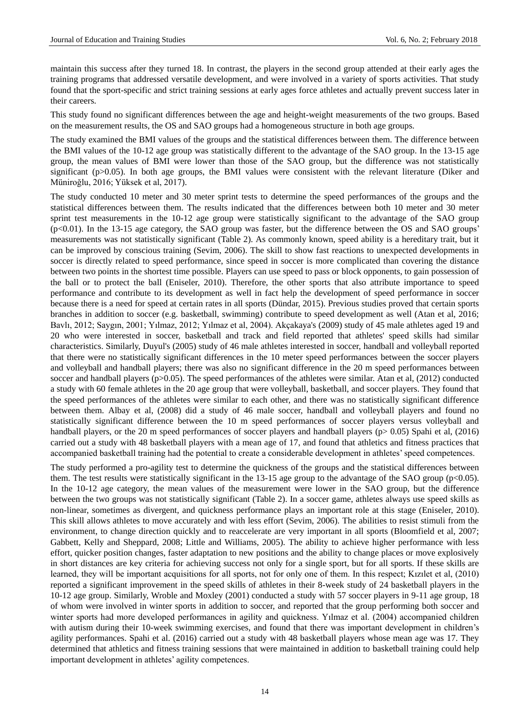maintain this success after they turned 18. In contrast, the players in the second group attended at their early ages the training programs that addressed versatile development, and were involved in a variety of sports activities. That study found that the sport-specific and strict training sessions at early ages force athletes and actually prevent success later in their careers.

This study found no significant differences between the age and height-weight measurements of the two groups. Based on the measurement results, the OS and SAO groups had a homogeneous structure in both age groups.

The study examined the BMI values of the groups and the statistical differences between them. The difference between the BMI values of the 10-12 age group was statistically different to the advantage of the SAO group. In the 13-15 age group, the mean values of BMI were lower than those of the SAO group, but the difference was not statistically significant (p>0.05). In both age groups, the BMI values were consistent with the relevant literature (Diker and Müniroğlu, 2016; Yüksek et al, 2017).

The study conducted 10 meter and 30 meter sprint tests to determine the speed performances of the groups and the statistical differences between them. The results indicated that the differences between both 10 meter and 30 meter sprint test measurements in the 10-12 age group were statistically significant to the advantage of the SAO group (p<0.01). In the 13-15 age category, the SAO group was faster, but the difference between the OS and SAO groups' measurements was not statistically significant (Table 2). As commonly known, speed ability is a hereditary trait, but it can be improved by conscious training (Sevim, 2006). The skill to show fast reactions to unexpected developments in soccer is directly related to speed performance, since speed in soccer is more complicated than covering the distance between two points in the shortest time possible. Players can use speed to pass or block opponents, to gain possession of the ball or to protect the ball (Eniseler, 2010). Therefore, the other sports that also attribute importance to speed performance and contribute to its development as well in fact help the development of speed performance in soccer because there is a need for speed at certain rates in all sports (Dündar, 2015). Previous studies proved that certain sports branches in addition to soccer (e.g. basketball, swimming) contribute to speed development as well (Atan et al, 2016; Bavlı, 2012; Saygın, 2001; Yılmaz, 2012; Yılmaz et al, 2004). Akçakaya's (2009) study of 45 male athletes aged 19 and 20 who were interested in soccer, basketball and track and field reported that athletes' speed skills had similar characteristics. Similarly, Duyul's (2005) study of 46 male athletes interested in soccer, handball and volleyball reported that there were no statistically significant differences in the 10 meter speed performances between the soccer players and volleyball and handball players; there was also no significant difference in the 20 m speed performances between soccer and handball players (p>0.05). The speed performances of the athletes were similar. Atan et al, (2012) conducted a study with 60 female athletes in the 20 age group that were volleyball, basketball, and soccer players. They found that the speed performances of the athletes were similar to each other, and there was no statistically significant difference between them. Albay et al, (2008) did a study of 46 male soccer, handball and volleyball players and found no statistically significant difference between the 10 m speed performances of soccer players versus volleyball and handball players, or the 20 m speed performances of soccer players and handball players (p> 0.05) Spahi et al, (2016) carried out a study with 48 basketball players with a mean age of 17, and found that athletics and fitness practices that accompanied basketball training had the potential to create a considerable development in athletes' speed competences.

The study performed a pro-agility test to determine the quickness of the groups and the statistical differences between them. The test results were statistically significant in the 13-15 age group to the advantage of the SAO group (p<0.05). In the 10-12 age category, the mean values of the measurement were lower in the SAO group, but the difference between the two groups was not statistically significant (Table 2). In a soccer game, athletes always use speed skills as non-linear, sometimes as divergent, and quickness performance plays an important role at this stage (Eniseler, 2010). This skill allows athletes to move accurately and with less effort (Sevim, 2006). The abilities to resist stimuli from the environment, to change direction quickly and to reaccelerate are very important in all sports (Bloomfield et al, 2007; Gabbett, Kelly and Sheppard, 2008; Little and Williams, 2005). The ability to achieve higher performance with less effort, quicker position changes, faster adaptation to new positions and the ability to change places or move explosively in short distances are key criteria for achieving success not only for a single sport, but for all sports. If these skills are learned, they will be important acquisitions for all sports, not for only one of them. In this respect; Kızılet et al, (2010) reported a significant improvement in the speed skills of athletes in their 8-week study of 24 basketball players in the 10-12 age group. Similarly, Wroble and Moxley (2001) conducted a study with 57 soccer players in 9-11 age group, 18 of whom were involved in winter sports in addition to soccer, and reported that the group performing both soccer and winter sports had more developed performances in agility and quickness. Yılmaz et al. (2004) accompanied children with autism during their 10-week swimming exercises, and found that there was important development in children's agility performances. Spahi et al. (2016) carried out a study with 48 basketball players whose mean age was 17. They determined that athletics and fitness training sessions that were maintained in addition to basketball training could help important development in athletes' agility competences.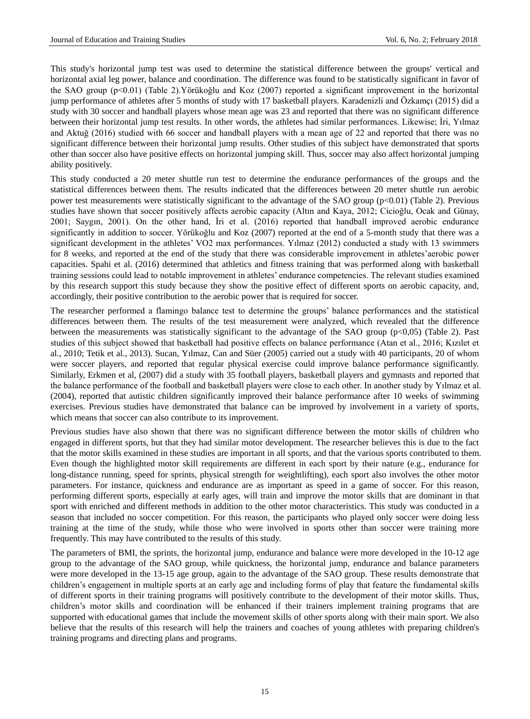This study's horizontal jump test was used to determine the statistical difference between the groups' vertical and horizontal axial leg power, balance and coordination. The difference was found to be statistically significant in favor of the SAO group (p<0.01) (Table 2).Yörükoğlu and Koz (2007) reported a significant improvement in the horizontal jump performance of athletes after 5 months of study with 17 basketball players. Karadenizli and Özkamçı (2015) did a study with 30 soccer and handball players whose mean age was 23 and reported that there was no significant difference between their horizontal jump test results. In other words, the athletes had similar performances. Likewise; İri, Yılmaz and Aktuğ (2016) studied with 66 soccer and handball players with a mean age of 22 and reported that there was no significant difference between their horizontal jump results. Other studies of this subject have demonstrated that sports other than soccer also have positive effects on horizontal jumping skill. Thus, soccer may also affect horizontal jumping ability positively.

This study conducted a 20 meter shuttle run test to determine the endurance performances of the groups and the statistical differences between them. The results indicated that the differences between 20 meter shuttle run aerobic power test measurements were statistically significant to the advantage of the SAO group (p<0.01) (Table 2). Previous studies have shown that soccer positively affects aerobic capacity (Altın and Kaya, 2012; Cicioğlu, Ocak and Günay, 2001; Saygın, 2001). On the other hand, İri et al. (2016) reported that handball improved aerobic endurance significantly in addition to soccer. Yörükoğlu and Koz (2007) reported at the end of a 5-month study that there was a significant development in the athletes' VO2 max performances. Yılmaz (2012) conducted a study with 13 swimmers for 8 weeks, and reported at the end of the study that there was considerable improvement in athletes'aerobic power capacities. Spahi et al. (2016) determined that athletics and fitness training that was performed along with basketball training sessions could lead to notable improvement in athletes' endurance competencies. The relevant studies examined by this research support this study because they show the positive effect of different sports on aerobic capacity, and, accordingly, their positive contribution to the aerobic power that is required for soccer.

The researcher performed a flamingo balance test to determine the groups' balance performances and the statistical differences between them. The results of the test measurement were analyzed, which revealed that the difference between the measurements was statistically significant to the advantage of the SAO group (p<0,05) (Table 2). Past studies of this subject showed that basketball had positive effects on balance performance (Atan et al., 2016; Kızılet et al., 2010; Tetik et al., 2013). Sucan, Yılmaz, Can and Süer (2005) carried out a study with 40 participants, 20 of whom were soccer players, and reported that regular physical exercise could improve balance performance significantly. Similarly, Erkmen et al, (2007) did a study with 35 football players, basketball players and gymnasts and reported that the balance performance of the football and basketball players were close to each other. In another study by Yılmaz et al. (2004), reported that autistic children significantly improved their balance performance after 10 weeks of swimming exercises. Previous studies have demonstrated that balance can be improved by involvement in a variety of sports, which means that soccer can also contribute to its improvement.

Previous studies have also shown that there was no significant difference between the motor skills of children who engaged in different sports, but that they had similar motor development. The researcher believes this is due to the fact that the motor skills examined in these studies are important in all sports, and that the various sports contributed to them. Even though the highlighted motor skill requirements are different in each sport by their nature (e.g., endurance for long-distance running, speed for sprints, physical strength for weightlifting), each sport also involves the other motor parameters. For instance, quickness and endurance are as important as speed in a game of soccer. For this reason, performing different sports, especially at early ages, will train and improve the motor skills that are dominant in that sport with enriched and different methods in addition to the other motor characteristics. This study was conducted in a season that included no soccer competition. For this reason, the participants who played only soccer were doing less training at the time of the study, while those who were involved in sports other than soccer were training more frequently. This may have contributed to the results of this study.

The parameters of BMI, the sprints, the horizontal jump, endurance and balance were more developed in the 10-12 age group to the advantage of the SAO group, while quickness, the horizontal jump, endurance and balance parameters were more developed in the 13-15 age group, again to the advantage of the SAO group. These results demonstrate that children's engagement in multiple sports at an early age and including forms of play that feature the fundamental skills of different sports in their training programs will positively contribute to the development of their motor skills. Thus, children's motor skills and coordination will be enhanced if their trainers implement training programs that are supported with educational games that include the movement skills of other sports along with their main sport. We also believe that the results of this research will help the trainers and coaches of young athletes with preparing children's training programs and directing plans and programs.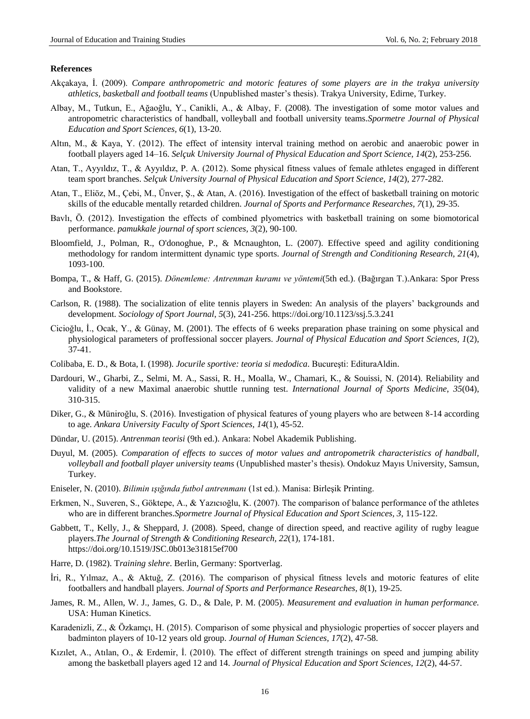#### **References**

- Akçakaya, İ. (2009). *Compare anthropometric and motoric features of some players are in the trakya university athletics, basketball and football teams* (Unpublished master's thesis). Trakya University, Edirne, Turkey.
- Albay, M., Tutkun, E., Ağaoğlu, Y., Canikli, A., & Albay, F. (2008). The investigation of some motor values and antropometric characteristics of handball, volleyball and football university teams.*Spormetre Journal of Physical Education and Sport Sciences, 6*(1), 13-20.
- Altın, M., & Kaya, Y. (2012). The effect of intensity interval training method on aerobic and anaerobic power in football players aged 14–16. *Selçuk University Journal of Physical Education and Sport Science, 14*(2), 253-256.
- Atan, T., Ayyıldız, T., & Ayyıldız, P. A. (2012). Some physical fitness values of female athletes engaged in different team sport branches. *Selçuk University Journal of Physical Education and Sport Science, 14*(2), 277-282.
- Atan, T., Eliöz, M., Çebi, M., Ünver, Ş., & Atan, A. (2016). Investigation of the effect of basketball training on motoric skills of the educable mentally retarded children. *Journal of Sports and Performance Researches, 7*(1), 29-35.
- Bavlı, Ö. (2012). Investigation the effects of combined plyometrics with basketball training on some biomotorical performance. *pamukkale journal of sport sciences, 3*(2), 90-100.
- Bloomfield, J., Polman, R., O'donoghue, P., & Mcnaughton, L. (2007). Effective speed and agility conditioning methodology for random intermittent dynamic type sports. *Journal of Strength and Conditioning Research, 21*(4), 1093-100.
- Bompa, T., & Haff, G. (2015). *Dönemleme: Antrenman kuramı ve yöntemi*(5th ed.). (Bağırgan T.).Ankara: Spor Press and Bookstore.
- Carlson, R. (1988). The socialization of elite tennis players in Sweden: An analysis of the players' backgrounds and development. *Sociology of Sport Journal*, *5*(3), 241-256. <https://doi.org/10.1123/ssj.5.3.241>
- Cicioğlu, İ., Ocak, Y., & Günay, M. (2001). The effects of 6 weeks preparation phase training on some physical and physiological parameters of proffessional soccer players. *Journal of Physical Education and Sport Sciences, 1*(2), 37-41.
- Colibaba, E. D., & Bota, I. (1998). *Jocurile sportive: teoria si medodica*. Bucureşti: EdituraAldin.
- Dardouri, W., Gharbi, Z., Selmi, M. A., Sassi, R. H., Moalla, W., Chamari, K., & Souissi, N. (2014). Reliability and validity of a new Maximal anaerobic shuttle running test. *International Journal of Sports Medicine*, *35*(04), 310-315.
- Diker, G., & Müniroğlu, S. (2016). Investigation of physical features of young players who are between 8-14 according to age. *Ankara University Faculty of Sport Sciences, 14*(1), 45-52.
- Dündar, U. (2015). *Antrenman teorisi* (9th ed.). Ankara: Nobel Akademik Publishing.
- Duyul, M. (2005). *Comparation of effects to succes of motor values and antropometrik characteristics of handball, volleyball and football player university teams* (Unpublished master's thesis)*.* Ondokuz Mayıs University, Samsun, Turkey.
- Eniseler, N. (2010). *Bilimin ışığında futbol antrenmanı* (1st ed.). Manisa: Birleşik Printing.
- Erkmen, N., Suveren, S., Göktepe, A., & Yazıcıoğlu, K. (2007). The comparison of balance performance of the athletes who are in different branches.*Spormetre Journal of Physical Education and Sport Sciences, 3*, 115-122.
- Gabbett, T., Kelly, J., & Sheppard, J. (2008). Speed, change of direction speed, and reactive agility of rugby league players.*The Journal of Strength & Conditioning Research, 22*(1), 174-181. <https://doi.org/10.1519/JSC.0b013e31815ef700>
- Harre, D. (1982). T*raining slehre*. Berlin, Germany: Sportverlag.
- İri, R., Yılmaz, A., & Aktuğ, Z. (2016). The comparison of physical fitness levels and motoric features of elite footballers and handball players. *Journal of Sports and Performance Researches, 8*(1), 19-25.
- James, R. M., Allen, W. J., James, G. D., & Dale, P. M. (2005). *Measurement and evaluation in human performance.*  USA: Human Kinetics.
- Karadenizli, Z., & Özkamçı, H. (2015). Comparison of some physical and physiologic properties of soccer players and badminton players of 10-12 years old group. *Journal of Human Sciences, 17*(2), 47-58.
- Kızılet, A., Atılan, O., & Erdemir, İ. (2010). The effect of different strength trainings on speed and jumping ability among the basketball players aged 12 and 14. *Journal of Physical Education and Sport Sciences, 12*(2), 44-57.